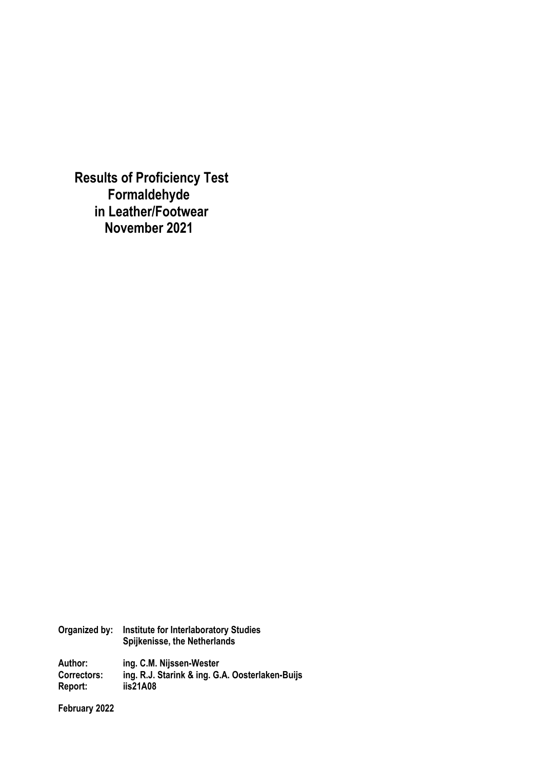**Results of Proficiency Test Formaldehyde in Leather/Footwear November 2021**

**Organized by: Institute for Interlaboratory Studies Spijkenisse, the Netherlands Author: ing. C.M. Nijssen-Wester Correctors: ing. R.J. Starink & ing. G.A. Oosterlaken-Buijs Report: iis21A08** 

**February 2022**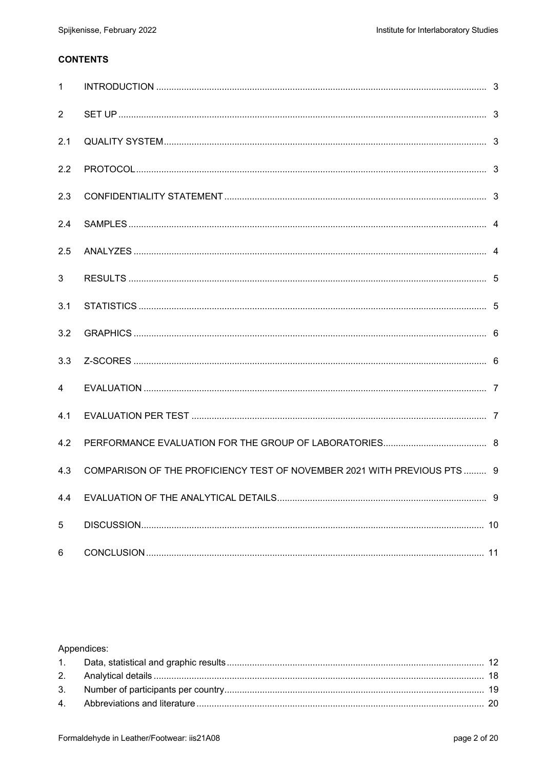# **CONTENTS**

| $\mathbf{1}$   |                                                                          |  |
|----------------|--------------------------------------------------------------------------|--|
| $\overline{2}$ |                                                                          |  |
| 2.1            |                                                                          |  |
| 2.2            |                                                                          |  |
| 2.3            |                                                                          |  |
| 2.4            |                                                                          |  |
| 2.5            |                                                                          |  |
| 3              |                                                                          |  |
| 3.1            |                                                                          |  |
| 3.2            |                                                                          |  |
| 3.3            |                                                                          |  |
| 4              |                                                                          |  |
| 4.1            |                                                                          |  |
| 4.2            |                                                                          |  |
| 4.3            | COMPARISON OF THE PROFICIENCY TEST OF NOVEMBER 2021 WITH PREVIOUS PTS  9 |  |
| 4.4            |                                                                          |  |
| 5              |                                                                          |  |
| 6              |                                                                          |  |

## Appendices: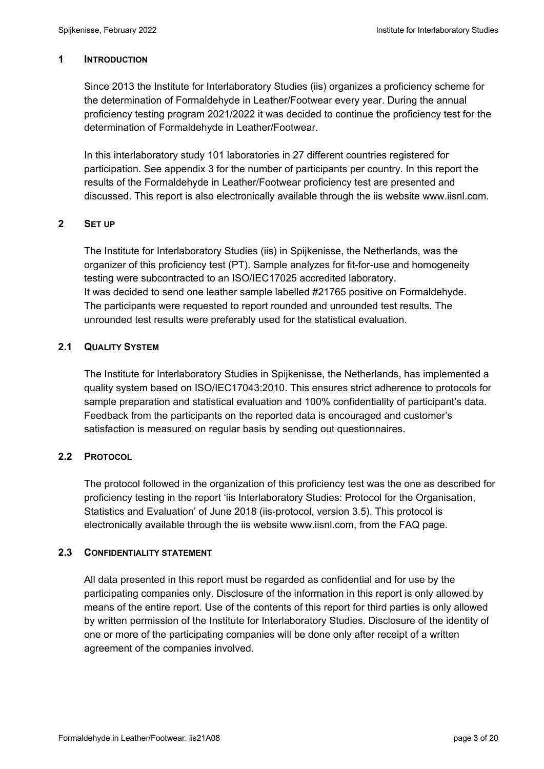#### **1 INTRODUCTION**

Since 2013 the Institute for Interlaboratory Studies (iis) organizes a proficiency scheme for the determination of Formaldehyde in Leather/Footwear every year. During the annual proficiency testing program 2021/2022 it was decided to continue the proficiency test for the determination of Formaldehyde in Leather/Footwear.

In this interlaboratory study 101 laboratories in 27 different countries registered for participation. See appendix 3 for the number of participants per country. In this report the results of the Formaldehyde in Leather/Footwear proficiency test are presented and discussed. This report is also electronically available through the iis website www.iisnl.com.

### **2 SET UP**

The Institute for Interlaboratory Studies (iis) in Spijkenisse, the Netherlands, was the organizer of this proficiency test (PT). Sample analyzes for fit-for-use and homogeneity testing were subcontracted to an ISO/IEC17025 accredited laboratory. It was decided to send one leather sample labelled #21765 positive on Formaldehyde. The participants were requested to report rounded and unrounded test results. The unrounded test results were preferably used for the statistical evaluation.

### **2.1 QUALITY SYSTEM**

The Institute for Interlaboratory Studies in Spijkenisse, the Netherlands, has implemented a quality system based on ISO/IEC17043:2010. This ensures strict adherence to protocols for sample preparation and statistical evaluation and 100% confidentiality of participant's data. Feedback from the participants on the reported data is encouraged and customer's satisfaction is measured on regular basis by sending out questionnaires.

## **2.2 PROTOCOL**

The protocol followed in the organization of this proficiency test was the one as described for proficiency testing in the report 'iis Interlaboratory Studies: Protocol for the Organisation, Statistics and Evaluation' of June 2018 (iis-protocol, version 3.5). This protocol is electronically available through the iis website www.iisnl.com, from the FAQ page.

#### **2.3 CONFIDENTIALITY STATEMENT**

All data presented in this report must be regarded as confidential and for use by the participating companies only. Disclosure of the information in this report is only allowed by means of the entire report. Use of the contents of this report for third parties is only allowed by written permission of the Institute for Interlaboratory Studies. Disclosure of the identity of one or more of the participating companies will be done only after receipt of a written agreement of the companies involved.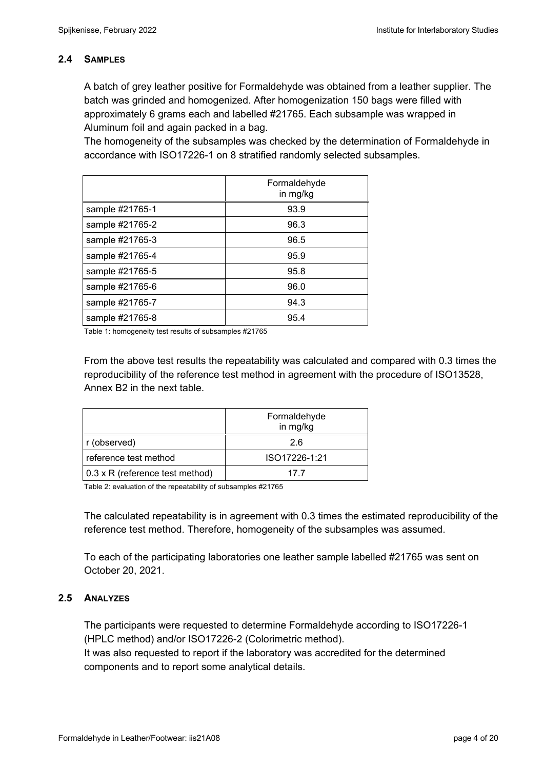### **2.4 SAMPLES**

A batch of grey leather positive for Formaldehyde was obtained from a leather supplier. The batch was grinded and homogenized. After homogenization 150 bags were filled with approximately 6 grams each and labelled #21765. Each subsample was wrapped in Aluminum foil and again packed in a bag.

The homogeneity of the subsamples was checked by the determination of Formaldehyde in accordance with ISO17226-1 on 8 stratified randomly selected subsamples.

|                 | Formaldehyde<br>in mg/kg |
|-----------------|--------------------------|
| sample #21765-1 | 93.9                     |
| sample #21765-2 | 96.3                     |
| sample #21765-3 | 96.5                     |
| sample #21765-4 | 95.9                     |
| sample #21765-5 | 95.8                     |
| sample #21765-6 | 96.0                     |
| sample #21765-7 | 94.3                     |
| sample #21765-8 | 95.4                     |

Table 1: homogeneity test results of subsamples #21765

From the above test results the repeatability was calculated and compared with 0.3 times the reproducibility of the reference test method in agreement with the procedure of ISO13528, Annex B2 in the next table.

|                                 | Formaldehyde<br>in mg/kg |
|---------------------------------|--------------------------|
| r (observed)                    | 26                       |
| reference test method           | ISO17226-1:21            |
| 0.3 x R (reference test method) | 17 7                     |

Table 2: evaluation of the repeatability of subsamples #21765

The calculated repeatability is in agreement with 0.3 times the estimated reproducibility of the reference test method. Therefore, homogeneity of the subsamples was assumed.

To each of the participating laboratories one leather sample labelled #21765 was sent on October 20, 2021.

#### **2.5 ANALYZES**

The participants were requested to determine Formaldehyde according to ISO17226-1 (HPLC method) and/or ISO17226-2 (Colorimetric method). It was also requested to report if the laboratory was accredited for the determined components and to report some analytical details.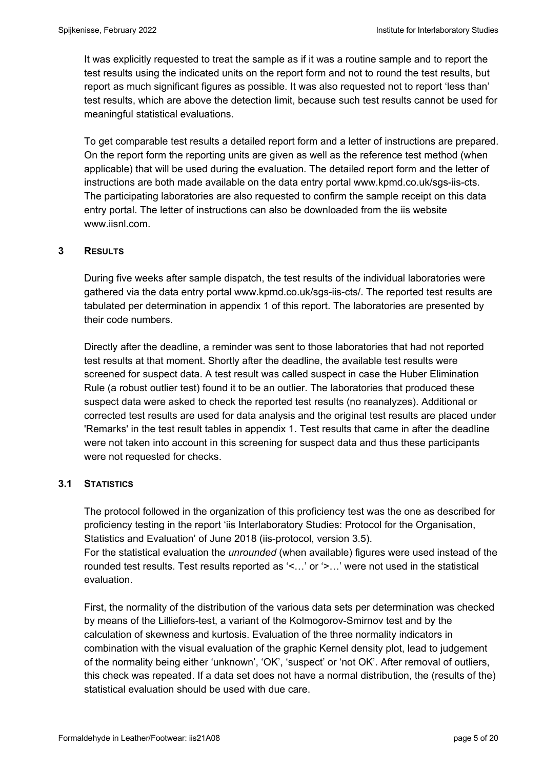It was explicitly requested to treat the sample as if it was a routine sample and to report the test results using the indicated units on the report form and not to round the test results, but report as much significant figures as possible. It was also requested not to report 'less than' test results, which are above the detection limit, because such test results cannot be used for meaningful statistical evaluations.

To get comparable test results a detailed report form and a letter of instructions are prepared. On the report form the reporting units are given as well as the reference test method (when applicable) that will be used during the evaluation. The detailed report form and the letter of instructions are both made available on the data entry portal www.kpmd.co.uk/sgs-iis-cts. The participating laboratories are also requested to confirm the sample receipt on this data entry portal. The letter of instructions can also be downloaded from the iis website www.iisnl.com.

### **3 RESULTS**

During five weeks after sample dispatch, the test results of the individual laboratories were gathered via the data entry portal www.kpmd.co.uk/sgs-iis-cts/. The reported test results are tabulated per determination in appendix 1 of this report. The laboratories are presented by their code numbers.

Directly after the deadline, a reminder was sent to those laboratories that had not reported test results at that moment. Shortly after the deadline, the available test results were screened for suspect data. A test result was called suspect in case the Huber Elimination Rule (a robust outlier test) found it to be an outlier. The laboratories that produced these suspect data were asked to check the reported test results (no reanalyzes). Additional or corrected test results are used for data analysis and the original test results are placed under 'Remarks' in the test result tables in appendix 1. Test results that came in after the deadline were not taken into account in this screening for suspect data and thus these participants were not requested for checks.

## **3.1 STATISTICS**

The protocol followed in the organization of this proficiency test was the one as described for proficiency testing in the report 'iis Interlaboratory Studies: Protocol for the Organisation, Statistics and Evaluation' of June 2018 (iis-protocol, version 3.5).

For the statistical evaluation the *unrounded* (when available) figures were used instead of the rounded test results. Test results reported as '<…' or '>…' were not used in the statistical evaluation.

First, the normality of the distribution of the various data sets per determination was checked by means of the Lilliefors-test, a variant of the Kolmogorov-Smirnov test and by the calculation of skewness and kurtosis. Evaluation of the three normality indicators in combination with the visual evaluation of the graphic Kernel density plot, lead to judgement of the normality being either 'unknown', 'OK', 'suspect' or 'not OK'. After removal of outliers, this check was repeated. If a data set does not have a normal distribution, the (results of the) statistical evaluation should be used with due care.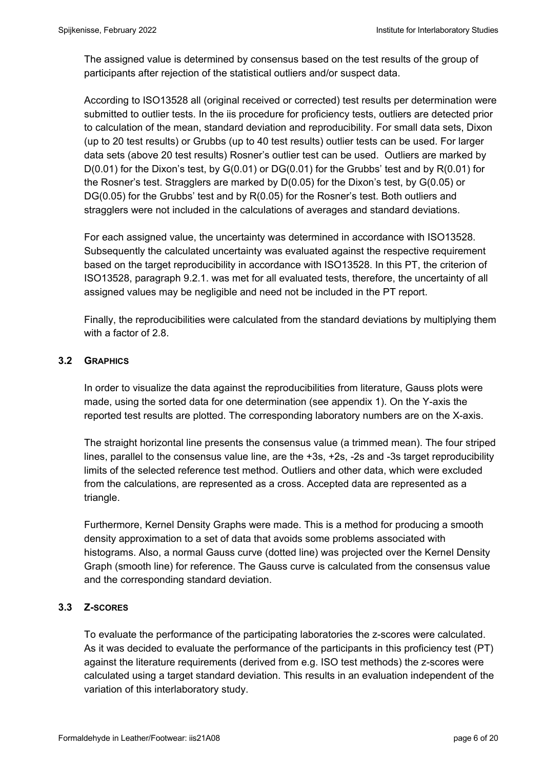The assigned value is determined by consensus based on the test results of the group of participants after rejection of the statistical outliers and/or suspect data.

According to ISO13528 all (original received or corrected) test results per determination were submitted to outlier tests. In the iis procedure for proficiency tests, outliers are detected prior to calculation of the mean, standard deviation and reproducibility. For small data sets, Dixon (up to 20 test results) or Grubbs (up to 40 test results) outlier tests can be used. For larger data sets (above 20 test results) Rosner's outlier test can be used. Outliers are marked by  $D(0.01)$  for the Dixon's test, by  $G(0.01)$  or  $DG(0.01)$  for the Grubbs' test and by  $R(0.01)$  for the Rosner's test. Stragglers are marked by D(0.05) for the Dixon's test, by G(0.05) or DG(0.05) for the Grubbs' test and by R(0.05) for the Rosner's test. Both outliers and stragglers were not included in the calculations of averages and standard deviations.

For each assigned value, the uncertainty was determined in accordance with ISO13528. Subsequently the calculated uncertainty was evaluated against the respective requirement based on the target reproducibility in accordance with ISO13528. In this PT, the criterion of ISO13528, paragraph 9.2.1. was met for all evaluated tests, therefore, the uncertainty of all assigned values may be negligible and need not be included in the PT report.

Finally, the reproducibilities were calculated from the standard deviations by multiplying them with a factor of 2.8.

### **3.2 GRAPHICS**

In order to visualize the data against the reproducibilities from literature, Gauss plots were made, using the sorted data for one determination (see appendix 1). On the Y-axis the reported test results are plotted. The corresponding laboratory numbers are on the X-axis.

The straight horizontal line presents the consensus value (a trimmed mean). The four striped lines, parallel to the consensus value line, are the +3s, +2s, -2s and -3s target reproducibility limits of the selected reference test method. Outliers and other data, which were excluded from the calculations, are represented as a cross. Accepted data are represented as a triangle.

Furthermore, Kernel Density Graphs were made. This is a method for producing a smooth density approximation to a set of data that avoids some problems associated with histograms. Also, a normal Gauss curve (dotted line) was projected over the Kernel Density Graph (smooth line) for reference. The Gauss curve is calculated from the consensus value and the corresponding standard deviation.

## **3.3 Z-SCORES**

To evaluate the performance of the participating laboratories the z-scores were calculated. As it was decided to evaluate the performance of the participants in this proficiency test (PT) against the literature requirements (derived from e.g. ISO test methods) the z-scores were calculated using a target standard deviation. This results in an evaluation independent of the variation of this interlaboratory study.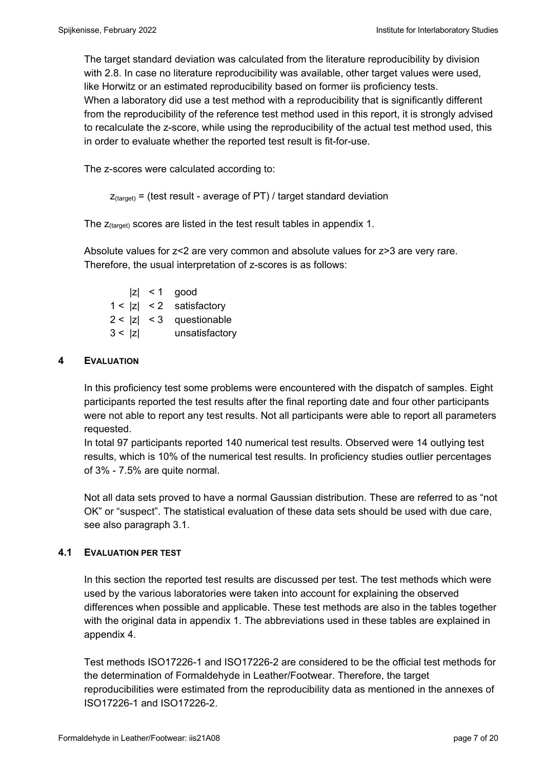The target standard deviation was calculated from the literature reproducibility by division with 2.8. In case no literature reproducibility was available, other target values were used, like Horwitz or an estimated reproducibility based on former iis proficiency tests. When a laboratory did use a test method with a reproducibility that is significantly different from the reproducibility of the reference test method used in this report, it is strongly advised to recalculate the z-score, while using the reproducibility of the actual test method used, this in order to evaluate whether the reported test result is fit-for-use.

The z-scores were calculated according to:

```
Z_{\text{target}} = (test result - average of PT) / target standard deviation
```
The  $z_{(target)}$  scores are listed in the test result tables in appendix 1.

Absolute values for z<2 are very common and absolute values for z>3 are very rare. Therefore, the usual interpretation of z-scores is as follows:

 $|z|$  < 1 good  $1 < |z| < 2$  satisfactory  $2 < |z| < 3$  questionable 3 < |z| unsatisfactory

### **4 EVALUATION**

In this proficiency test some problems were encountered with the dispatch of samples. Eight participants reported the test results after the final reporting date and four other participants were not able to report any test results. Not all participants were able to report all parameters requested.

In total 97 participants reported 140 numerical test results. Observed were 14 outlying test results, which is 10% of the numerical test results. In proficiency studies outlier percentages of 3% - 7.5% are quite normal.

Not all data sets proved to have a normal Gaussian distribution. These are referred to as "not OK" or "suspect". The statistical evaluation of these data sets should be used with due care, see also paragraph 3.1.

#### **4.1 EVALUATION PER TEST**

In this section the reported test results are discussed per test. The test methods which were used by the various laboratories were taken into account for explaining the observed differences when possible and applicable. These test methods are also in the tables together with the original data in appendix 1. The abbreviations used in these tables are explained in appendix 4.

Test methods ISO17226-1 and ISO17226-2 are considered to be the official test methods for the determination of Formaldehyde in Leather/Footwear. Therefore, the target reproducibilities were estimated from the reproducibility data as mentioned in the annexes of ISO17226-1 and ISO17226-2.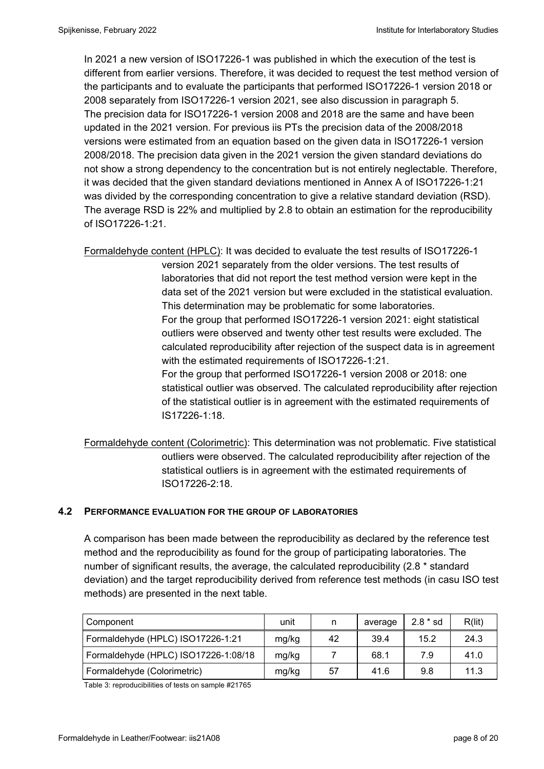In 2021 a new version of ISO17226-1 was published in which the execution of the test is different from earlier versions. Therefore, it was decided to request the test method version of the participants and to evaluate the participants that performed ISO17226-1 version 2018 or 2008 separately from ISO17226-1 version 2021, see also discussion in paragraph 5. The precision data for ISO17226-1 version 2008 and 2018 are the same and have been updated in the 2021 version. For previous iis PTs the precision data of the 2008/2018 versions were estimated from an equation based on the given data in ISO17226-1 version 2008/2018. The precision data given in the 2021 version the given standard deviations do not show a strong dependency to the concentration but is not entirely neglectable. Therefore, it was decided that the given standard deviations mentioned in Annex A of ISO17226-1:21 was divided by the corresponding concentration to give a relative standard deviation (RSD). The average RSD is 22% and multiplied by 2.8 to obtain an estimation for the reproducibility of ISO17226-1:21.

Formaldehyde content (HPLC): It was decided to evaluate the test results of ISO17226-1

version 2021 separately from the older versions. The test results of laboratories that did not report the test method version were kept in the data set of the 2021 version but were excluded in the statistical evaluation. This determination may be problematic for some laboratories. For the group that performed ISO17226-1 version 2021: eight statistical outliers were observed and twenty other test results were excluded. The calculated reproducibility after rejection of the suspect data is in agreement with the estimated requirements of ISO17226-1:21. For the group that performed ISO17226-1 version 2008 or 2018: one statistical outlier was observed. The calculated reproducibility after rejection of the statistical outlier is in agreement with the estimated requirements of IS17226-1:18.

Formaldehyde content (Colorimetric): This determination was not problematic. Five statistical outliers were observed. The calculated reproducibility after rejection of the statistical outliers is in agreement with the estimated requirements of ISO17226-2:18.

#### **4.2 PERFORMANCE EVALUATION FOR THE GROUP OF LABORATORIES**

A comparison has been made between the reproducibility as declared by the reference test method and the reproducibility as found for the group of participating laboratories. The number of significant results, the average, the calculated reproducibility (2.8 \* standard deviation) and the target reproducibility derived from reference test methods (in casu ISO test methods) are presented in the next table.

| Component                            | unit  | n  | average | $2.8 * sd$ | R(lit) |
|--------------------------------------|-------|----|---------|------------|--------|
| Formaldehyde (HPLC) ISO17226-1:21    | mg/kg | 42 | 39.4    | 15.2       | 24.3   |
| Formaldehyde (HPLC) ISO17226-1:08/18 | mg/kg |    | 68.1    | 7.9        | 41.0   |
| Formaldehyde (Colorimetric)          | mg/kg | 57 | 41.6    | 9.8        | 11.3   |

Table 3: reproducibilities of tests on sample #21765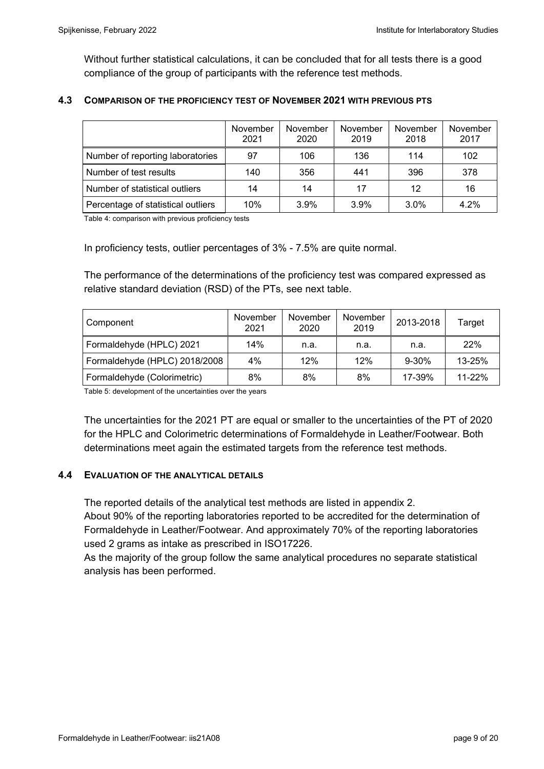Without further statistical calculations, it can be concluded that for all tests there is a good compliance of the group of participants with the reference test methods.

#### **4.3 COMPARISON OF THE PROFICIENCY TEST OF NOVEMBER 2021 WITH PREVIOUS PTS**

|                                    | November<br>2021 | November<br>2020 | November<br>2019 | November<br>2018 | November<br>2017 |
|------------------------------------|------------------|------------------|------------------|------------------|------------------|
| Number of reporting laboratories   | 97               | 106              | 136              | 114              | 102              |
| Number of test results             | 140              | 356              | 441              | 396              | 378              |
| Number of statistical outliers     | 14               | 14               | 17               | 12               | 16               |
| Percentage of statistical outliers | 10%              | 3.9%             | 3.9%             | 3.0%             | 4.2%             |

Table 4: comparison with previous proficiency tests

In proficiency tests, outlier percentages of 3% - 7.5% are quite normal.

The performance of the determinations of the proficiency test was compared expressed as relative standard deviation (RSD) of the PTs, see next table.

| Component                     | November<br>2021 | November<br>2020 | November<br>2019 | 2013-2018 | Target     |
|-------------------------------|------------------|------------------|------------------|-----------|------------|
| Formaldehyde (HPLC) 2021      | 14%              | n.a.             | n.a.             | n.a.      | 22%        |
| Formaldehyde (HPLC) 2018/2008 | 4%               | 12%              | 12%              | $9 - 30%$ | 13-25%     |
| Formaldehyde (Colorimetric)   | 8%               | 8%               | 8%               | 17-39%    | $11 - 22%$ |

Table 5: development of the uncertainties over the years

The uncertainties for the 2021 PT are equal or smaller to the uncertainties of the PT of 2020 for the HPLC and Colorimetric determinations of Formaldehyde in Leather/Footwear. Both determinations meet again the estimated targets from the reference test methods.

#### **4.4 EVALUATION OF THE ANALYTICAL DETAILS**

The reported details of the analytical test methods are listed in appendix 2.

About 90% of the reporting laboratories reported to be accredited for the determination of Formaldehyde in Leather/Footwear. And approximately 70% of the reporting laboratories used 2 grams as intake as prescribed in ISO17226.

As the majority of the group follow the same analytical procedures no separate statistical analysis has been performed.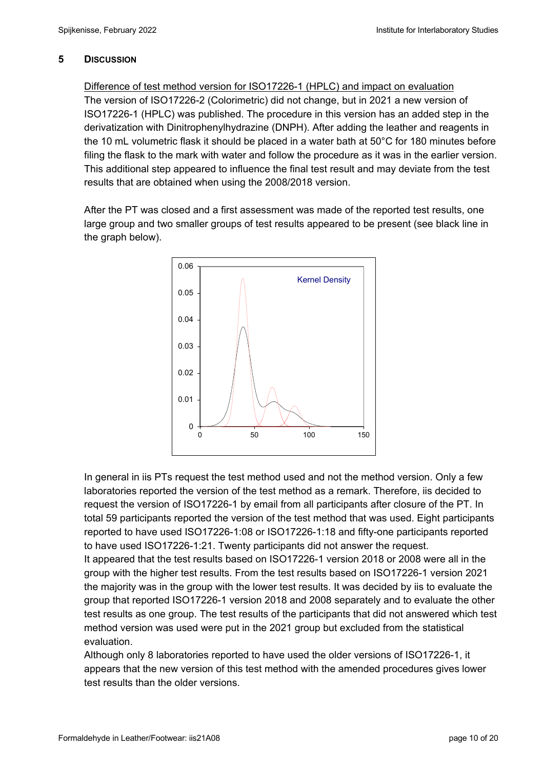## **5 DISCUSSION**

Difference of test method version for ISO17226-1 (HPLC) and impact on evaluation The version of ISO17226-2 (Colorimetric) did not change, but in 2021 a new version of ISO17226-1 (HPLC) was published. The procedure in this version has an added step in the derivatization with Dinitrophenylhydrazine (DNPH). After adding the leather and reagents in the 10 mL volumetric flask it should be placed in a water bath at 50°C for 180 minutes before filing the flask to the mark with water and follow the procedure as it was in the earlier version. This additional step appeared to influence the final test result and may deviate from the test results that are obtained when using the 2008/2018 version.

After the PT was closed and a first assessment was made of the reported test results, one large group and two smaller groups of test results appeared to be present (see black line in the graph below).



In general in iis PTs request the test method used and not the method version. Only a few laboratories reported the version of the test method as a remark. Therefore, iis decided to request the version of ISO17226-1 by email from all participants after closure of the PT. In total 59 participants reported the version of the test method that was used. Eight participants reported to have used ISO17226-1:08 or ISO17226-1:18 and fifty-one participants reported to have used ISO17226-1:21. Twenty participants did not answer the request. It appeared that the test results based on ISO17226-1 version 2018 or 2008 were all in the group with the higher test results. From the test results based on ISO17226-1 version 2021 the majority was in the group with the lower test results. It was decided by iis to evaluate the group that reported ISO17226-1 version 2018 and 2008 separately and to evaluate the other test results as one group. The test results of the participants that did not answered which test method version was used were put in the 2021 group but excluded from the statistical evaluation.

Although only 8 laboratories reported to have used the older versions of ISO17226-1, it appears that the new version of this test method with the amended procedures gives lower test results than the older versions.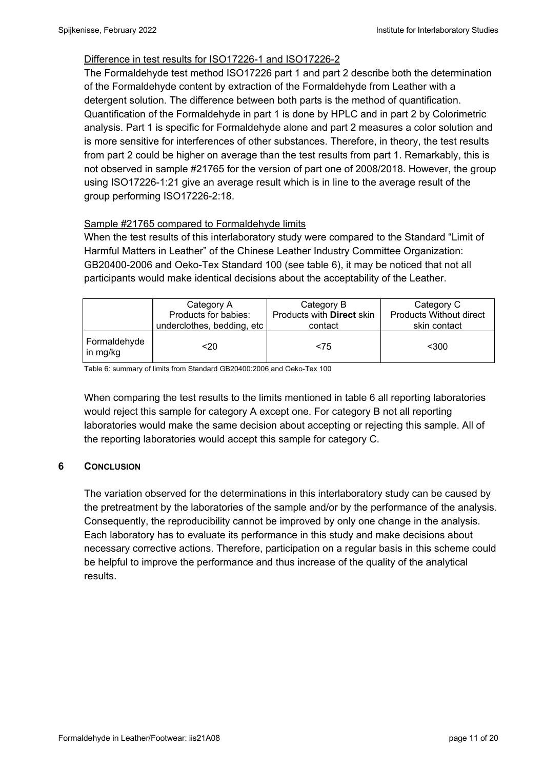## Difference in test results for ISO17226-1 and ISO17226-2

The Formaldehyde test method ISO17226 part 1 and part 2 describe both the determination of the Formaldehyde content by extraction of the Formaldehyde from Leather with a detergent solution. The difference between both parts is the method of quantification. Quantification of the Formaldehyde in part 1 is done by HPLC and in part 2 by Colorimetric analysis. Part 1 is specific for Formaldehyde alone and part 2 measures a color solution and is more sensitive for interferences of other substances. Therefore, in theory, the test results from part 2 could be higher on average than the test results from part 1. Remarkably, this is not observed in sample #21765 for the version of part one of 2008/2018. However, the group using ISO17226-1:21 give an average result which is in line to the average result of the group performing ISO17226-2:18.

## Sample #21765 compared to Formaldehyde limits

When the test results of this interlaboratory study were compared to the Standard "Limit of Harmful Matters in Leather" of the Chinese Leather Industry Committee Organization: GB20400-2006 and Oeko-Tex Standard 100 (see table 6), it may be noticed that not all participants would make identical decisions about the acceptability of the Leather.

|                          | Category A<br>Products for babies:<br>underclothes, bedding, etc | Category B<br>Products with <b>Direct</b> skin<br>contact | Category C<br><b>Products Without direct</b><br>skin contact |
|--------------------------|------------------------------------------------------------------|-----------------------------------------------------------|--------------------------------------------------------------|
|                          |                                                                  |                                                           |                                                              |
| Formaldehyde<br>in mg/kg | $20$                                                             | < 75                                                      | $300$                                                        |

Table 6: summary of limits from Standard GB20400:2006 and Oeko-Tex 100

When comparing the test results to the limits mentioned in table 6 all reporting laboratories would reject this sample for category A except one. For category B not all reporting laboratories would make the same decision about accepting or rejecting this sample. All of the reporting laboratories would accept this sample for category C.

## **6** CONCLUSION

The variation observed for the determinations in this interlaboratory study can be caused by the pretreatment by the laboratories of the sample and/or by the performance of the analysis. Consequently, the reproducibility cannot be improved by only one change in the analysis. Each laboratory has to evaluate its performance in this study and make decisions about necessary corrective actions. Therefore, participation on a regular basis in this scheme could be helpful to improve the performance and thus increase of the quality of the analytical results.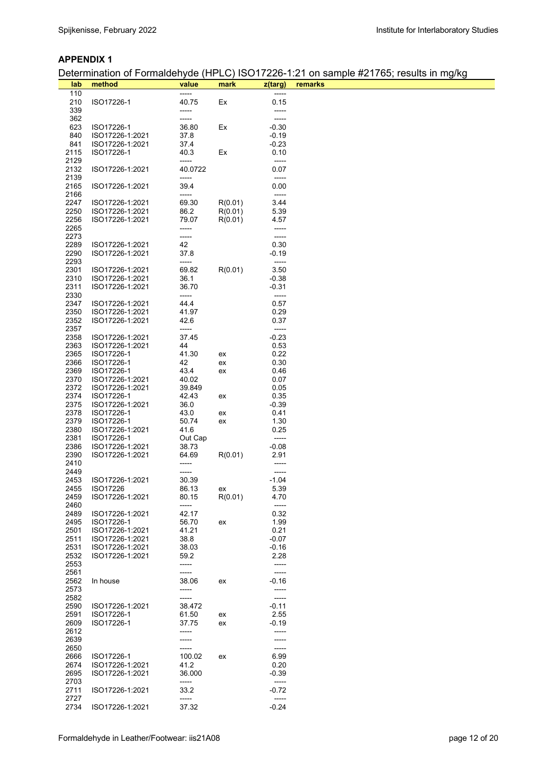#### **APPENDIX 1**

Determination of Formaldehyde (HPLC) ISO17226-1:21 on sample #21765; results in mg/kg

| lab          | method                             | value          | mark     | z(targ)            | remarks |
|--------------|------------------------------------|----------------|----------|--------------------|---------|
| 110          |                                    | -----          |          |                    |         |
| 210          | ISO17226-1                         | 40.75          | Ex       | 0.15               |         |
| 339          |                                    | -----          |          | -----              |         |
| 362          |                                    | -----          | Ex       |                    |         |
| 623          | ISO17226-1                         | 36.80          |          | $-0.30$<br>$-0.19$ |         |
| 840          | ISO17226-1:2021                    | 37.8           |          | $-0.23$            |         |
| 841          | ISO17226-1:2021                    | 37.4           |          |                    |         |
| 2115         | ISO17226-1                         | 40.3           | Ex       | 0.10               |         |
| 2129         |                                    | -----          |          | -----              |         |
| 2132         | ISO17226-1:2021                    | 40.0722        |          | 0.07               |         |
| 2139         |                                    | -----          |          | -----              |         |
| 2165         | ISO17226-1:2021                    | 39.4           |          | 0.00               |         |
| 2166         |                                    | -----<br>69.30 |          | -----              |         |
| 2247         | ISO17226-1:2021                    |                | R(0.01)  | 3.44               |         |
| 2250         | ISO17226-1:2021<br>ISO17226-1:2021 | 86.2           | R(0.01)  | 5.39               |         |
| 2256         |                                    | 79.07          | R(0.01)  | 4.57               |         |
| 2265<br>2273 |                                    | -----<br>----- |          | -----<br>-----     |         |
|              |                                    | 42             |          |                    |         |
| 2289<br>2290 | ISO17226-1:2021<br>ISO17226-1:2021 | 37.8           |          | 0.30<br>$-0.19$    |         |
| 2293         |                                    | -----          |          | -----              |         |
| 2301         | ISO17226-1:2021                    | 69.82          | R(0.01)  | 3.50               |         |
| 2310         | ISO17226-1:2021                    | 36.1           |          | $-0.38$            |         |
|              |                                    |                |          |                    |         |
| 2311<br>2330 | ISO17226-1:2021                    | 36.70<br>----- |          | $-0.31$<br>-----   |         |
| 2347         |                                    | 44.4           |          |                    |         |
| 2350         | ISO17226-1:2021<br>ISO17226-1:2021 | 41.97          |          | 0.57<br>0.29       |         |
| 2352         |                                    | 42.6           |          |                    |         |
| 2357         | ISO17226-1:2021                    | -----          |          | 0.37<br>-----      |         |
| 2358         | ISO17226-1:2021                    | 37.45          |          | $-0.23$            |         |
|              |                                    | 44             |          | 0.53               |         |
| 2363         | ISO17226-1:2021                    | 41.30          |          | 0.22               |         |
| 2365<br>2366 | ISO17226-1<br>ISO17226-1           | 42             | ex<br>ex | 0.30               |         |
| 2369         | ISO17226-1                         | 43.4           |          | 0.46               |         |
| 2370         | ISO17226-1:2021                    | 40.02          | ex       | 0.07               |         |
| 2372         | ISO17226-1:2021                    | 39.849         |          | 0.05               |         |
| 2374         | ISO17226-1                         | 42.43          | ex       | 0.35               |         |
| 2375         | ISO17226-1:2021                    | 36.0           |          | $-0.39$            |         |
| 2378         | ISO17226-1                         | 43.0           | ex       | 0.41               |         |
| 2379         | ISO17226-1                         | 50.74          | ex       | 1.30               |         |
| 2380         | ISO17226-1:2021                    | 41.6           |          | 0.25               |         |
| 2381         | ISO17226-1                         | Out Cap        |          | -----              |         |
| 2386         | ISO17226-1:2021                    | 38.73          |          | $-0.08$            |         |
| 2390         | ISO17226-1:2021                    | 64.69          | R(0.01)  | 2.91               |         |
| 2410         |                                    | -----          |          |                    |         |
| 2449         |                                    | -----          |          | -----              |         |
| 2453         | ISO17226-1:2021                    | 30.39          |          | $-1.04$            |         |
| 2455         | ISO17226                           | 86.13          | ex       | 5.39               |         |
| 2459         | ISO17226-1:2021                    | 80.15          | R(0.01)  | 4.70               |         |
| 2460         |                                    | -----          |          | -----              |         |
| 2489         | ISO17226-1:2021                    | 42.17          |          | 0.32               |         |
| 2495         | ISO17226-1                         | 56.70          | ex       | 1.99               |         |
| 2501         | ISO17226-1:2021                    | 41.21          |          | 0.21               |         |
| 2511         | ISO17226-1:2021                    | 38.8           |          | $-0.07$            |         |
| 2531         | ISO17226-1:2021                    | 38.03          |          | $-0.16$            |         |
| 2532         | ISO17226-1:2021                    | 59.2           |          | 2.28               |         |
| 2553         |                                    | -----          |          | -----              |         |
| 2561         |                                    | -----          |          | -----              |         |
| 2562         | In house                           | 38.06          | ex       | -0.16              |         |
| 2573         |                                    | -----          |          | -----              |         |
| 2582         |                                    | -----          |          | -----              |         |
| 2590         | ISO17226-1:2021                    | 38.472         |          | $-0.11$            |         |
| 2591         | ISO17226-1                         | 61.50          | еx       | 2.55               |         |
| 2609         | ISO17226-1                         | 37.75          | ex       | -0.19              |         |
| 2612         |                                    | -----          |          | -----              |         |
| 2639         |                                    | -----          |          |                    |         |
| 2650         |                                    | -----          |          | -----              |         |
| 2666         | ISO17226-1                         | 100.02         | ex       | 6.99               |         |
| 2674         | ISO17226-1:2021                    | 41.2           |          | 0.20               |         |
| 2695         | ISO17226-1:2021                    | 36.000         |          | $-0.39$            |         |
| 2703         |                                    | -----          |          | -----              |         |
| 2711         | ISO17226-1:2021                    | 33.2           |          | $-0.72$            |         |
| 2727         |                                    | -----          |          |                    |         |
| 2734         | ISO17226-1:2021                    | 37.32          |          | $-0.24$            |         |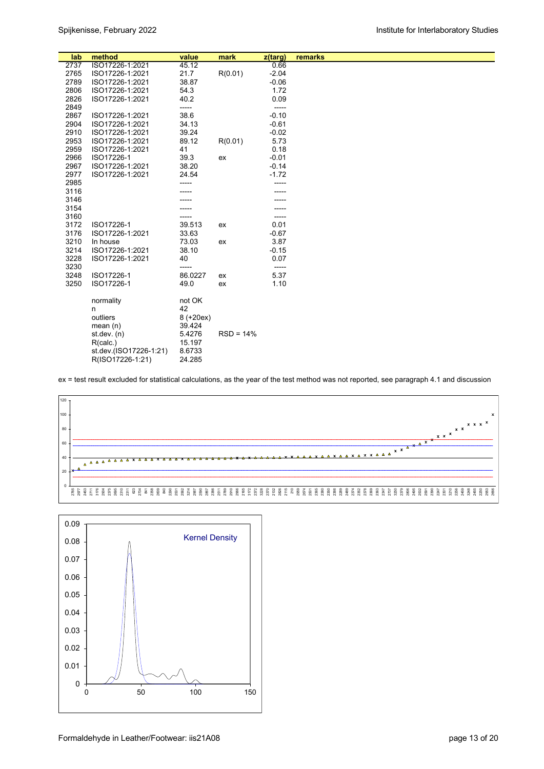| lab  | method                 | value       | mark        | z(targ) | remarks |  |
|------|------------------------|-------------|-------------|---------|---------|--|
| 2737 | ISO17226-1:2021        | 45.12       |             | 0.66    |         |  |
| 2765 | ISO17226-1:2021        | 21.7        | R(0.01)     | $-2.04$ |         |  |
| 2789 | ISO17226-1:2021        | 38.87       |             | $-0.06$ |         |  |
| 2806 | ISO17226-1:2021        | 54.3        |             | 1.72    |         |  |
| 2826 | ISO17226-1:2021        | 40.2        |             | 0.09    |         |  |
| 2849 |                        | -----       |             | -----   |         |  |
| 2867 | ISO17226-1:2021        | 38.6        |             | $-0.10$ |         |  |
| 2904 | ISO17226-1:2021        | 34.13       |             | $-0.61$ |         |  |
| 2910 | ISO17226-1:2021        | 39.24       |             | $-0.02$ |         |  |
| 2953 | ISO17226-1:2021        | 89.12       | R(0.01)     | 5.73    |         |  |
| 2959 | ISO17226-1:2021        | 41          |             | 0.18    |         |  |
| 2966 | ISO17226-1             | 39.3        | ex          | $-0.01$ |         |  |
| 2967 | ISO17226-1:2021        | 38.20       |             | $-0.14$ |         |  |
| 2977 | ISO17226-1:2021        | 24.54       |             | $-1.72$ |         |  |
| 2985 |                        |             |             |         |         |  |
| 3116 |                        |             |             |         |         |  |
| 3146 |                        |             |             |         |         |  |
| 3154 |                        |             |             |         |         |  |
| 3160 |                        |             |             | -----   |         |  |
| 3172 | ISO17226-1             | 39.513      | ex          | 0.01    |         |  |
| 3176 | ISO17226-1:2021        | 33.63       |             | $-0.67$ |         |  |
| 3210 | In house               | 73.03       | ex          | 3.87    |         |  |
| 3214 | ISO17226-1:2021        | 38.10       |             | $-0.15$ |         |  |
| 3228 | ISO17226-1:2021        | 40          |             | 0.07    |         |  |
| 3230 |                        | -----       |             | -----   |         |  |
| 3248 | ISO17226-1             | 86.0227     | ex          | 5.37    |         |  |
| 3250 | ISO17226-1             | 49.0        | ex          | 1.10    |         |  |
|      |                        |             |             |         |         |  |
|      | normality              | not OK      |             |         |         |  |
|      | n                      | 42          |             |         |         |  |
|      | outliers               | $8 (+20ex)$ |             |         |         |  |
|      | mean $(n)$             | 39.424      |             |         |         |  |
|      | st. dev. (n)           | 5.4276      | $RSD = 14%$ |         |         |  |
|      | R(calc.)               | 15.197      |             |         |         |  |
|      | st.dev.(ISO17226-1:21) | 8.6733      |             |         |         |  |
|      | R(ISO17226-1:21)       | 24.285      |             |         |         |  |

ex = test result excluded for statistical calculations, as the year of the test method was not reported, see paragraph 4.1 and discussion



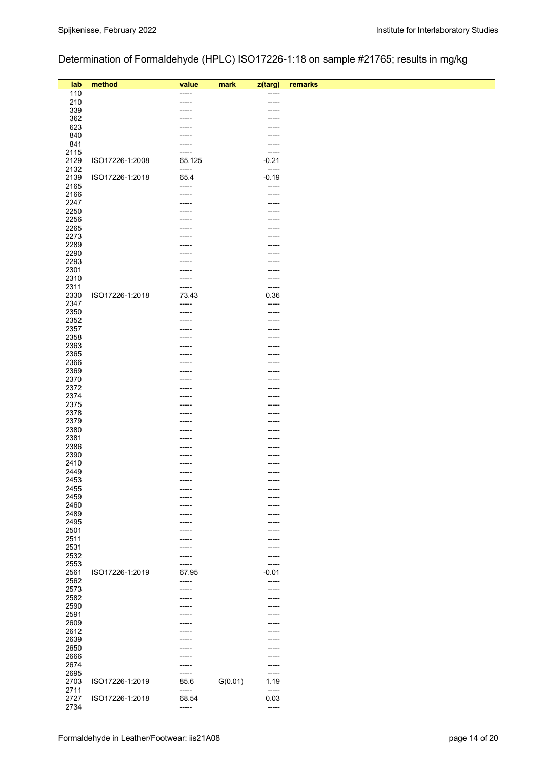# Determination of Formaldehyde (HPLC) ISO17226-1:18 on sample #21765; results in mg/kg

| lab          | method          | value          | mark    | z(targ)         | remarks |
|--------------|-----------------|----------------|---------|-----------------|---------|
| 110          |                 | -----          |         | $-----$         |         |
| 210          |                 | -----          |         | -----           |         |
| 339          |                 |                |         |                 |         |
| 362          |                 |                |         |                 |         |
| 623<br>840   |                 |                |         | ----            |         |
| 841          |                 |                |         | <br>-----       |         |
| 2115         |                 | -----          |         | -----           |         |
| 2129         | ISO17226-1:2008 | 65.125         |         | $-0.21$         |         |
| 2132         |                 | -----          |         | -----           |         |
| 2139         | ISO17226-1:2018 | 65.4           |         | $-0.19$         |         |
| 2165         |                 | -----          |         | -----           |         |
| 2166         |                 | -----          |         | -----           |         |
| 2247         |                 |                |         |                 |         |
| 2250         |                 |                |         | -----           |         |
| 2256         |                 |                |         |                 |         |
| 2265         |                 |                |         |                 |         |
| 2273         |                 |                |         |                 |         |
| 2289         |                 |                |         |                 |         |
| 2290         |                 |                |         | ---             |         |
| 2293         |                 |                |         |                 |         |
| 2301         |                 |                |         |                 |         |
| 2310<br>2311 |                 | -----          |         | ------<br>----- |         |
| 2330         | ISO17226-1:2018 | 73.43          |         | 0.36            |         |
| 2347         |                 | -----          |         | -----           |         |
| 2350         |                 | -----          |         | -----           |         |
| 2352         |                 |                |         |                 |         |
| 2357         |                 |                |         |                 |         |
| 2358         |                 |                |         |                 |         |
| 2363         |                 |                |         | ---             |         |
| 2365         |                 |                |         |                 |         |
| 2366         |                 |                |         |                 |         |
| 2369         |                 |                |         |                 |         |
| 2370         |                 |                |         | ----            |         |
| 2372         |                 |                |         |                 |         |
| 2374         |                 |                |         | ----            |         |
| 2375         |                 |                |         |                 |         |
| 2378         |                 |                |         |                 |         |
| 2379<br>2380 |                 |                |         |                 |         |
| 2381         |                 |                |         |                 |         |
| 2386         |                 |                |         |                 |         |
| 2390         |                 |                |         |                 |         |
| 2410         |                 |                |         | -----           |         |
| 2449         |                 | -----          |         | -----           |         |
| 2453         |                 |                |         | -----           |         |
| 2455         |                 | -----          |         | -----           |         |
| 2459         |                 |                |         |                 |         |
| 2460         |                 |                |         | ----            |         |
| 2489         |                 |                |         |                 |         |
| 2495         |                 |                |         | -----           |         |
| 2501         |                 |                |         |                 |         |
| 2511         |                 |                |         |                 |         |
| 2531         |                 |                |         |                 |         |
| 2532         |                 | ----           |         | -----           |         |
| 2553         |                 |                |         | -----           |         |
| 2561         | ISO17226-1:2019 | 67.95          |         | $-0.01$         |         |
| 2562<br>2573 |                 | -----          |         | -----           |         |
| 2582         |                 | -----<br>----- |         | -----<br>       |         |
| 2590         |                 |                |         |                 |         |
| 2591         |                 |                |         |                 |         |
| 2609         |                 |                |         |                 |         |
| 2612         |                 |                |         |                 |         |
| 2639         |                 |                |         |                 |         |
| 2650         |                 |                |         |                 |         |
| 2666         |                 |                |         |                 |         |
| 2674         |                 |                |         |                 |         |
| 2695         |                 |                |         | -----           |         |
| 2703         | ISO17226-1:2019 | 85.6           | G(0.01) | 1.19            |         |
| 2711         |                 | -----          |         | -----           |         |
| 2727         | ISO17226-1:2018 | 68.54          |         | 0.03            |         |
| 2734         |                 | -----          |         | $-----$         |         |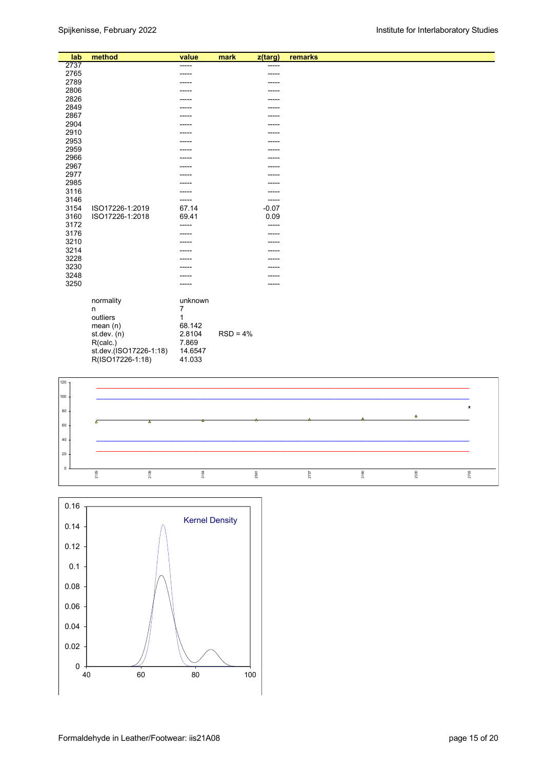| lab     | method                 | value   | mark       | z(targ) | remarks |
|---------|------------------------|---------|------------|---------|---------|
| 2737    |                        | -----   |            | -----   |         |
| 2765    |                        | -----   |            | -----   |         |
| 2789    |                        |         |            |         |         |
| 2806    |                        |         |            |         |         |
| 2826    |                        |         |            |         |         |
| 2849    |                        |         |            |         |         |
| 2867    |                        |         |            |         |         |
| 2904    |                        |         |            |         |         |
| 2910    |                        |         |            |         |         |
| 2953    |                        | ----    |            |         |         |
| 2959    |                        |         |            |         |         |
| 2966    |                        | ----    |            |         |         |
| 2967    |                        |         |            |         |         |
| 2977    |                        |         |            |         |         |
| 2985    |                        |         |            |         |         |
| 3116    |                        |         |            |         |         |
| 3146    |                        | -----   |            | -----   |         |
| 3154    | ISO17226-1:2019        | 67.14   |            | $-0.07$ |         |
| 3160    | ISO17226-1:2018        | 69.41   |            | 0.09    |         |
| 3172    |                        | -----   |            | -----   |         |
| 3176    |                        | ----    |            |         |         |
| 3210    |                        | ----    |            |         |         |
| 3214    |                        |         |            |         |         |
| 3228    |                        |         |            |         |         |
| 3230    |                        |         |            |         |         |
| 3248    |                        |         |            |         |         |
| 3250    |                        | -----   |            |         |         |
|         | normality              | unknown |            |         |         |
|         | $\mathsf{n}$           | 7       |            |         |         |
|         | outliers               | 1       |            |         |         |
|         | mean(n)                | 68.142  |            |         |         |
|         | st.dev. (n)            | 2.8104  | $RSD = 4%$ |         |         |
|         | R(calc.)               | 7.869   |            |         |         |
|         | st.dev.(ISO17226-1:18) | 14.6547 |            |         |         |
|         | R(ISO17226-1:18)       | 41.033  |            |         |         |
|         |                        |         |            |         |         |
|         |                        |         |            |         |         |
| 120     |                        |         |            |         |         |
| $100 -$ |                        |         |            |         |         |



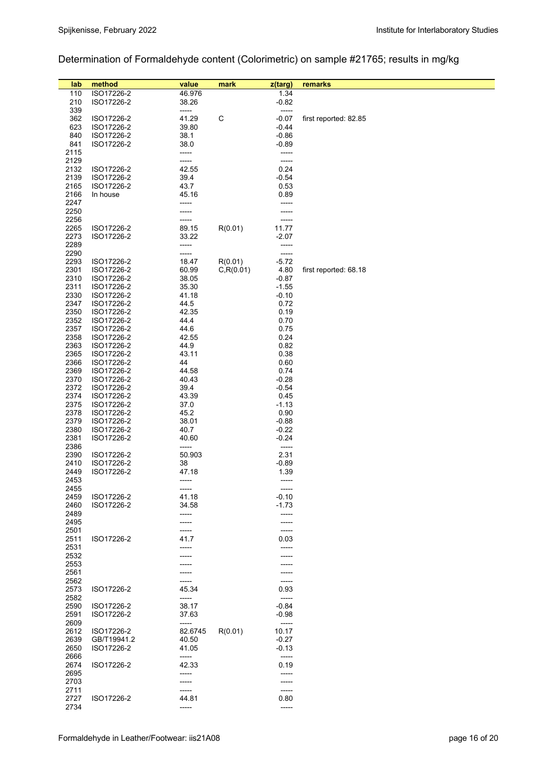# Determination of Formaldehyde content (Colorimetric) on sample #21765; results in mg/kg

| lab  | method      | value   | mark       | z(targ) | remarks               |
|------|-------------|---------|------------|---------|-----------------------|
| 110  | ISO17226-2  | 46.976  |            | 1.34    |                       |
| 210  | ISO17226-2  | 38.26   |            | $-0.82$ |                       |
| 339  |             | -----   |            | -----   |                       |
| 362  | ISO17226-2  | 41.29   | C          | $-0.07$ | first reported: 82.85 |
| 623  | ISO17226-2  | 39.80   |            | $-0.44$ |                       |
| 840  | ISO17226-2  | 38.1    |            | $-0.86$ |                       |
| 841  | ISO17226-2  | 38.0    |            | $-0.89$ |                       |
| 2115 |             | -----   |            | -----   |                       |
| 2129 |             | -----   |            | -----   |                       |
| 2132 | ISO17226-2  | 42.55   |            | 0.24    |                       |
| 2139 | ISO17226-2  | 39.4    |            | $-0.54$ |                       |
| 2165 | ISO17226-2  | 43.7    |            | 0.53    |                       |
| 2166 | In house    | 45.16   |            | 0.89    |                       |
| 2247 |             | -----   |            | -----   |                       |
| 2250 |             |         |            |         |                       |
| 2256 |             |         |            |         |                       |
| 2265 | ISO17226-2  | 89.15   | R(0.01)    | 11.77   |                       |
| 2273 | ISO17226-2  | 33.22   |            | $-2.07$ |                       |
| 2289 |             | -----   |            | -----   |                       |
| 2290 |             |         |            | -----   |                       |
| 2293 | ISO17226-2  | 18.47   | R(0.01)    | $-5.72$ |                       |
| 2301 | ISO17226-2  | 60.99   | C, R(0.01) | 4.80    | first reported: 68.18 |
| 2310 | ISO17226-2  | 38.05   |            | $-0.87$ |                       |
| 2311 | ISO17226-2  | 35.30   |            | $-1.55$ |                       |
| 2330 | ISO17226-2  | 41.18   |            | $-0.10$ |                       |
| 2347 | ISO17226-2  | 44.5    |            | 0.72    |                       |
| 2350 | ISO17226-2  | 42.35   |            | 0.19    |                       |
| 2352 | ISO17226-2  | 44.4    |            | 0.70    |                       |
| 2357 | ISO17226-2  | 44.6    |            | 0.75    |                       |
| 2358 | ISO17226-2  | 42.55   |            | 0.24    |                       |
| 2363 | ISO17226-2  | 44.9    |            | 0.82    |                       |
| 2365 | ISO17226-2  | 43.11   |            | 0.38    |                       |
| 2366 | ISO17226-2  | 44      |            | 0.60    |                       |
| 2369 | ISO17226-2  | 44.58   |            | 0.74    |                       |
| 2370 | ISO17226-2  | 40.43   |            | $-0.28$ |                       |
| 2372 | ISO17226-2  | 39.4    |            | $-0.54$ |                       |
| 2374 | ISO17226-2  | 43.39   |            | 0.45    |                       |
| 2375 | ISO17226-2  | 37.0    |            | $-1.13$ |                       |
| 2378 | ISO17226-2  | 45.2    |            | 0.90    |                       |
| 2379 | ISO17226-2  | 38.01   |            | $-0.88$ |                       |
| 2380 | ISO17226-2  | 40.7    |            | $-0.22$ |                       |
| 2381 | ISO17226-2  | 40.60   |            | $-0.24$ |                       |
| 2386 |             | -----   |            | -----   |                       |
| 2390 | ISO17226-2  | 50.903  |            | 2.31    |                       |
| 2410 | ISO17226-2  | 38      |            | $-0.89$ |                       |
| 2449 | ISO17226-2  | 47.18   |            | 1.39    |                       |
| 2453 |             | -----   |            | -----   |                       |
| 2455 |             | -----   |            | -----   |                       |
| 2459 | ISO17226-2  | 41.18   |            | $-0.10$ |                       |
| 2460 | ISO17226-2  | 34.58   |            | $-1.73$ |                       |
| 2489 |             | -----   |            | -----   |                       |
| 2495 |             |         |            |         |                       |
| 2501 |             |         |            | -----   |                       |
| 2511 | ISO17226-2  | 41.7    |            | 0.03    |                       |
| 2531 |             |         |            |         |                       |
| 2532 |             |         |            |         |                       |
| 2553 |             |         |            |         |                       |
| 2561 |             |         |            |         |                       |
| 2562 |             |         |            | -----   |                       |
| 2573 | ISO17226-2  | 45.34   |            | 0.93    |                       |
| 2582 |             | -----   |            | -----   |                       |
| 2590 | ISO17226-2  | 38.17   |            | $-0.84$ |                       |
| 2591 | ISO17226-2  | 37.63   |            | $-0.98$ |                       |
| 2609 |             | -----   |            | -----   |                       |
| 2612 | ISO17226-2  | 82.6745 | R(0.01)    | 10.17   |                       |
| 2639 | GB/T19941.2 | 40.50   |            | $-0.27$ |                       |
| 2650 | ISO17226-2  | 41.05   |            | $-0.13$ |                       |
| 2666 |             | -----   |            | -----   |                       |
| 2674 | ISO17226-2  | 42.33   |            | 0.19    |                       |
| 2695 |             |         |            |         |                       |
| 2703 |             |         |            | -----   |                       |
| 2711 |             | -----   |            | -----   |                       |
| 2727 | ISO17226-2  | 44.81   |            | 0.80    |                       |
| 2734 |             | -----   |            | -----   |                       |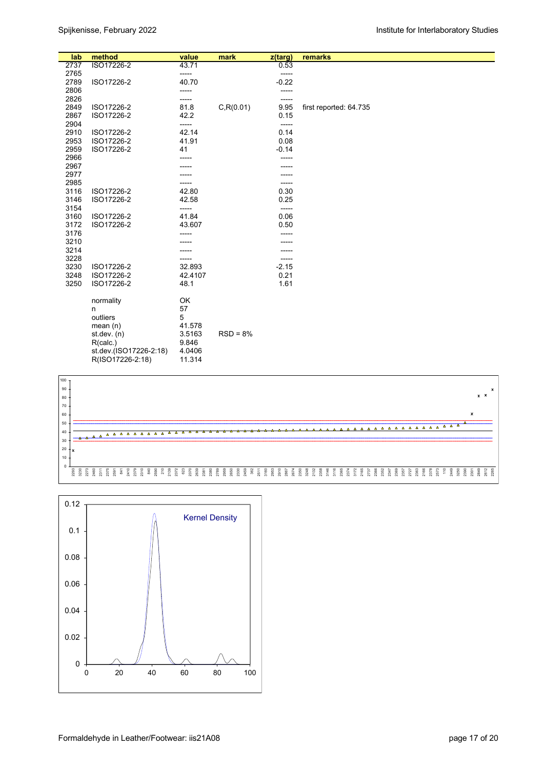| lab          | method                 | value   | mark       | $z$ (targ) | remarks                |
|--------------|------------------------|---------|------------|------------|------------------------|
| 2737         | ISO17226-2             | 43.71   |            | 0.53       |                        |
| 2765         |                        | -----   |            | -----      |                        |
| 2789         | ISO17226-2             | 40.70   |            | $-0.22$    |                        |
| 2806         |                        | -----   |            | -----      |                        |
| 2826         |                        | -----   |            | -----      |                        |
| 2849         | ISO17226-2             | 81.8    | C, R(0.01) | 9.95       | first reported: 64.735 |
| 2867         | ISO17226-2             | 42.2    |            | 0.15       |                        |
| 2904         |                        | -----   |            | -----      |                        |
| 2910         | ISO17226-2             | 42.14   |            | 0.14       |                        |
| 2953         | ISO17226-2             | 41.91   |            | 0.08       |                        |
| 2959<br>2966 | ISO17226-2             | 41      |            | $-0.14$    |                        |
| 2967         |                        |         |            |            |                        |
| 2977         |                        |         |            |            |                        |
| 2985         |                        | -----   |            | -----      |                        |
| 3116         | ISO17226-2             | 42.80   |            | 0.30       |                        |
| 3146         | ISO17226-2             | 42.58   |            | 0.25       |                        |
| 3154         |                        | -----   |            | -----      |                        |
| 3160         | ISO17226-2             | 41.84   |            | 0.06       |                        |
| 3172         | ISO17226-2             | 43.607  |            | 0.50       |                        |
| 3176         |                        |         |            |            |                        |
| 3210         |                        |         |            |            |                        |
| 3214         |                        |         |            |            |                        |
| 3228         |                        |         |            | -----      |                        |
| 3230         | ISO17226-2             | 32.893  |            | $-2.15$    |                        |
| 3248         | ISO17226-2             | 42.4107 |            | 0.21       |                        |
| 3250         | ISO17226-2             | 48.1    |            | 1.61       |                        |
|              | normality              | OK      |            |            |                        |
|              | n                      | 57      |            |            |                        |
|              | outliers               | 5       |            |            |                        |
|              | mean $(n)$             | 41.578  |            |            |                        |
|              | st.dev. (n)            | 3.5163  | $RSD = 8%$ |            |                        |
|              | R(calc.)               | 9.846   |            |            |                        |
|              | st.dev.(ISO17226-2:18) | 4.0406  |            |            |                        |
|              | R(ISO17226-2:18)       | 11.314  |            |            |                        |



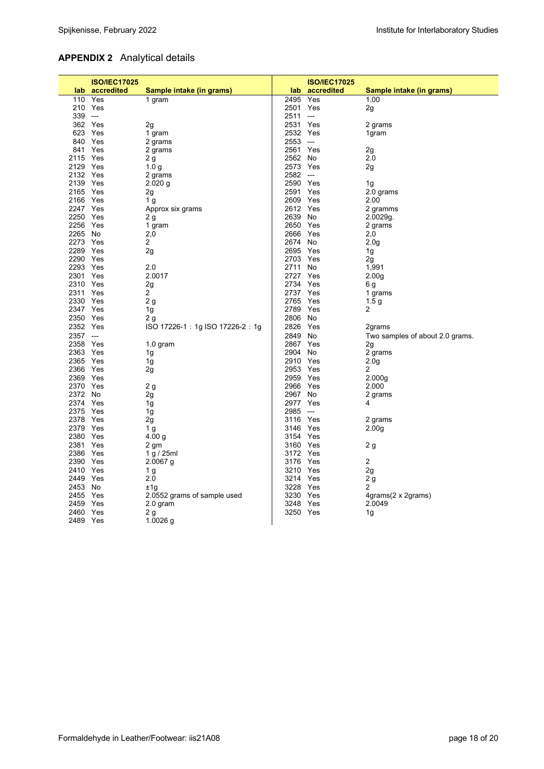# **APPENDIX 2** Analytical details

|           | <b>ISO/IEC17025</b> |                                 |          | <b>ISO/IEC17025</b>      |                                 |
|-----------|---------------------|---------------------------------|----------|--------------------------|---------------------------------|
|           | lab accredited      | Sample intake (in grams)        | lab.     | accredited               | Sample intake (in grams)        |
|           | 110 Yes             | 1 gram                          | 2495     | Yes                      | 1.00                            |
|           | 210 Yes             |                                 | 2501     | Yes                      | 2g                              |
| $339$ --- |                     |                                 | 2511     | $\hspace{0.05cm} \ldots$ |                                 |
|           | 362 Yes             | 2g                              | 2531     | Yes                      | 2 grams                         |
|           | 623 Yes             | 1 gram                          | 2532 Yes |                          | 1gram                           |
|           | 840 Yes             | 2 grams                         | 2553     | $\hspace{0.05cm} \ldots$ |                                 |
|           | 841 Yes             | 2 grams                         | 2561     | Yes                      | 2g                              |
| 2115 Yes  |                     | 2g                              | 2562 No  |                          | 2.0                             |
| 2129 Yes  |                     | 1.0 <sub>g</sub>                | 2573     | Yes                      | 2g                              |
| 2132 Yes  |                     | 2 grams                         | 2582     | $\hspace{0.05cm} \ldots$ |                                 |
| 2139 Yes  |                     | $2.020$ g                       | 2590 Yes |                          | 1g                              |
| 2165 Yes  |                     | 2g                              | 2591     | Yes                      | 2.0 grams                       |
| 2166 Yes  |                     | 1 <sub>g</sub>                  | 2609     | Yes                      | 2.00                            |
| 2247 Yes  |                     | Approx six grams                | 2612 Yes |                          | 2 gramms                        |
| 2250 Yes  |                     | 2 g                             | 2639 No  |                          | 2.0029g.                        |
| 2256 Yes  |                     | 1 gram                          | 2650     | Yes                      | 2 grams                         |
| 2265 No   |                     | 2,0                             | 2666     | Yes                      | 2,0                             |
| 2273 Yes  |                     | $\overline{2}$                  | 2674     | No                       | 2.0 <sub>g</sub>                |
| 2289 Yes  |                     | 2g                              | 2695 Yes |                          | 1g                              |
| 2290 Yes  |                     |                                 | 2703 Yes |                          | 2g                              |
| 2293 Yes  |                     | 2.0                             | 2711     | No                       | 1,991                           |
| 2301 Yes  |                     | 2.0017                          | 2727 Yes |                          | 2.00 <sub>q</sub>               |
| 2310 Yes  |                     | 2g                              | 2734     | Yes                      | 6 g                             |
| 2311 Yes  |                     | $\overline{2}$                  | 2737     | Yes                      | 1 grams                         |
| 2330 Yes  |                     | 2 <sub>g</sub>                  | 2765     | Yes                      | 1.5 <sub>g</sub>                |
| 2347 Yes  |                     | 1g                              | 2789     | Yes                      | 2                               |
| 2350 Yes  |                     | 2g                              | 2806     | No.                      |                                 |
| 2352 Yes  |                     | ISO 17226-1: 1g ISO 17226-2: 1g | 2826     | Yes                      | 2grams                          |
| 2357 ---  |                     |                                 | 2849     | No                       | Two samples of about 2.0 grams. |
| 2358 Yes  |                     | $1.0$ gram                      | 2867     | Yes                      | 2g                              |
| 2363 Yes  |                     | 1g                              | 2904     | No                       | 2 grams                         |
| 2365 Yes  |                     | 1g                              | 2910 Yes |                          | 2.0 <sub>q</sub>                |
| 2366 Yes  |                     | 2g                              | 2953 Yes |                          | 2                               |
| 2369 Yes  |                     |                                 | 2959 Yes |                          | 2.000 <sub>g</sub>              |
| 2370 Yes  |                     | 2g                              | 2966     | Yes                      | 2.000                           |
| 2372 No   |                     | 2g                              | 2967     | No                       | 2 grams                         |
| 2374 Yes  |                     | 1g                              | 2977 Yes |                          | 4                               |
| 2375 Yes  |                     | 1g                              | 2985     | $---$                    |                                 |
| 2378 Yes  |                     | 2g                              | 3116     | Yes                      | 2 grams                         |
| 2379 Yes  |                     | 1 <sub>g</sub>                  | 3146 Yes |                          | 2.00 <sub>g</sub>               |
| 2380 Yes  |                     | 4.00 $q$                        | 3154     | Yes                      |                                 |
| 2381 Yes  |                     | 2 gm                            | 3160 Yes |                          | 2 g                             |
| 2386 Yes  |                     | 1 g / 25 ml                     | 3172     | Yes                      |                                 |
| 2390 Yes  |                     | $2.0067$ g                      | 3176     | Yes                      | $\overline{c}$                  |
| 2410 Yes  |                     | 1 <sub>g</sub>                  | 3210 Yes |                          | 2g                              |
| 2449 Yes  |                     | 2.0                             | 3214     | Yes                      | 2g                              |
| 2453 No   |                     | ±1g                             | 3228     | Yes                      | 2                               |
| 2455 Yes  |                     | 2.0552 grams of sample used     | 3230     | Yes                      | 4grams(2 x 2grams)              |
| 2459 Yes  |                     | 2.0 gram                        | 3248     | Yes                      | 2.0049                          |
| 2460 Yes  |                     | 2 g                             | 3250 Yes |                          | 1g                              |
| 2489 Yes  |                     | 1.0026 $g$                      |          |                          |                                 |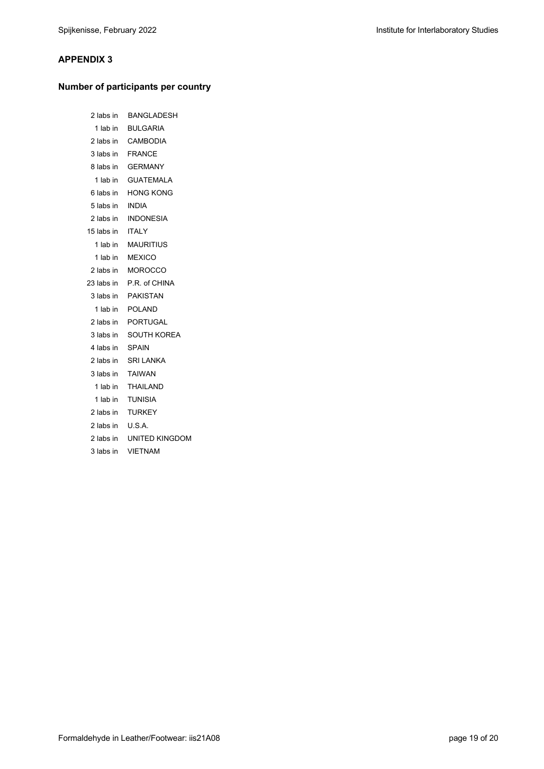## **APPENDIX 3**

## **Number of participants per country**

| 2 labs in        | <b>BANGLADESH</b>        |
|------------------|--------------------------|
| 1 lab in         | <b>BULGARIA</b>          |
| 2 labs in        | CAMBODIA                 |
|                  | 3 labs in FRANCE         |
|                  | 8 labs in GERMANY        |
| 1 lab in         | <b>GUATEMALA</b>         |
| 6 labs in        | <b>HONG KONG</b>         |
| 5 labs in        | <b>INDIA</b>             |
|                  | 2 labs in INDONESIA      |
| 15 labs in ITALY |                          |
|                  | 1 lab in MAURITIUS       |
| 1 lab in         | <b>MEXICO</b>            |
|                  | 2 labs in MOROCCO        |
|                  | 23 labs in P.R. of CHINA |
| 3 labs in        | PAKISTAN                 |
| 1 lab in         | <b>POLAND</b>            |
|                  | 2 labs in PORTUGAL       |
| 3 labs in        | SOUTH KOREA              |
| 4 labs in        | SPAIN                    |
| 2 labs in        | <b>SRI LANKA</b>         |
| 3 labs in        | <b>TAIWAN</b>            |
| 1 lab in         | THAILAND                 |
| 1 lab in         | TUNISIA                  |
| 2 labs in        | <b>TURKEY</b>            |
| 2 labs in        | U.S.A.                   |
| 2 labs in        | UNITED KINGDOM           |
| 3 labs in        | <b>VIETNAM</b>           |
|                  |                          |